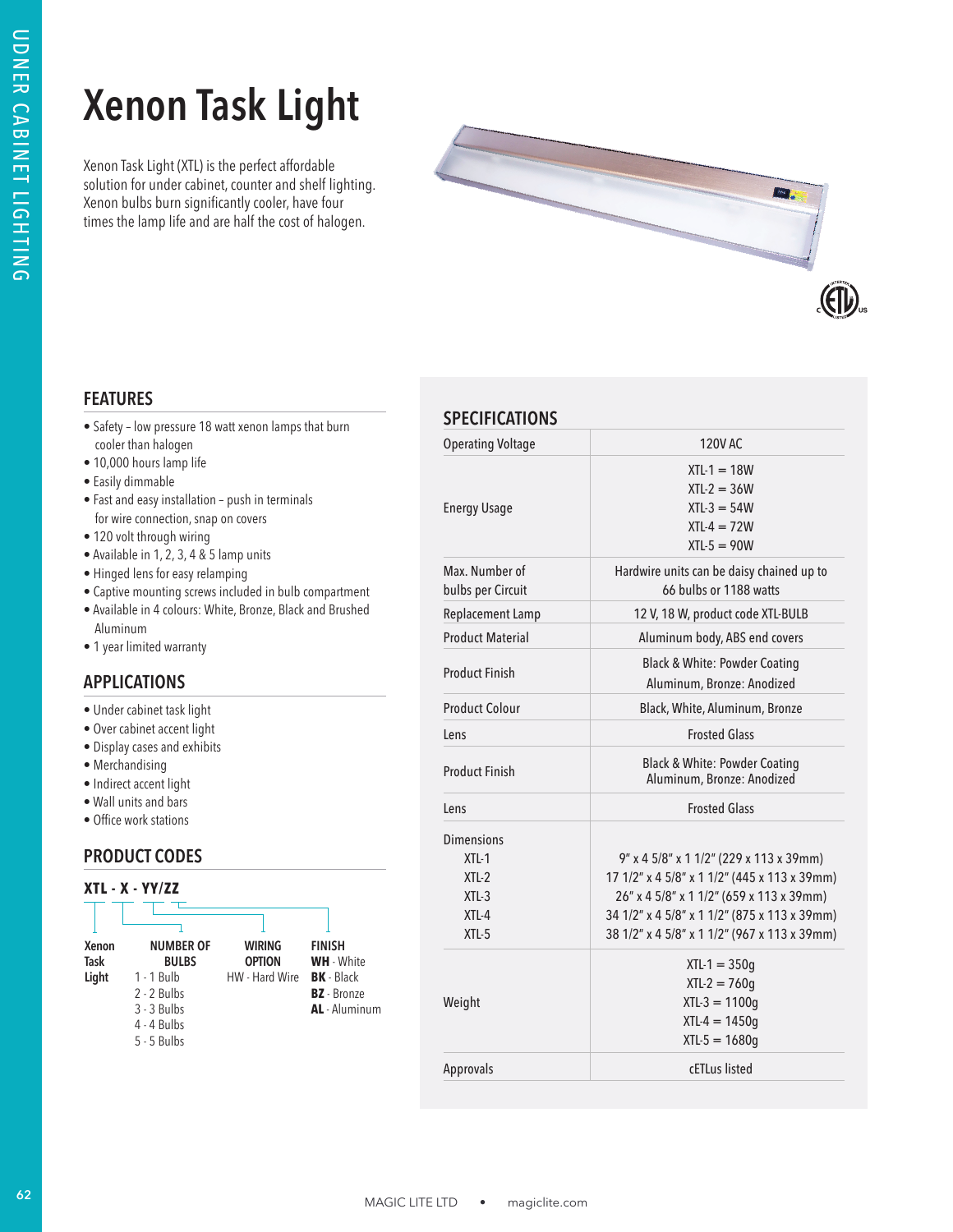# **Xenon Task Light**



## **FEATURES**

- Safety low pressure 18 watt xenon lamps that burn cooler than halogen
- 10,000 hours lamp life
- Easily dimmable
- Fast and easy installation push in terminals for wire connection, snap on covers
- 120 volt through wiring
- Available in 1, 2, 3, 4 & 5 lamp units
- Hinged lens for easy relamping
- Captive mounting screws included in bulb compartment
- Available in 4 colours: White, Bronze, Black and Brushed Aluminum
- 1 year limited warranty

# **APPLICATIONS**

- Under cabinet task light
- Over cabinet accent light
- Display cases and exhibits
- Merchandising
- Indirect accent light
- Wall units and bars
- Office work stations

# **PRODUCT CODES**

#### **XTL - X - YY/ZZ**

| Xenon | <b>NUMBER OF</b> | <b>WIRING</b>  | <b>FINISH</b>      |
|-------|------------------|----------------|--------------------|
| Task  | <b>BULBS</b>     | <b>OPTION</b>  | <b>WH</b> - White  |
| Light | $1 - 1$ Bulb     | HW - Hard Wire | <b>BK</b> - Black  |
|       | $2 - 2$ Bulbs    |                | <b>BZ</b> - Bronze |
|       | $3 - 3$ Bulbs    |                | AL - Aluminum      |
|       | $4 - 4$ Bulbs    |                |                    |
|       | $5 - 5$ Bulbs    |                |                    |

# **CRECIFICATIONS**

| <b>Xenon Task Light</b><br>Xenon Task Light (XTL) is the perfect affordable<br>solution for under cabinet, counter and shelf lighting.<br>Xenon bulbs burn significantly cooler, have four<br>times the lamp life and are half the cost of halogen. |                                                                 | <b>Ford</b><br>$\left(\bigoplus$                                                                                                                                                                                                    |  |  |
|-----------------------------------------------------------------------------------------------------------------------------------------------------------------------------------------------------------------------------------------------------|-----------------------------------------------------------------|-------------------------------------------------------------------------------------------------------------------------------------------------------------------------------------------------------------------------------------|--|--|
| <b>FEATURES</b>                                                                                                                                                                                                                                     | <b>SPECIFICATIONS</b>                                           |                                                                                                                                                                                                                                     |  |  |
| • Safety - low pressure 18 watt xenon lamps that burn<br>cooler than halogen                                                                                                                                                                        | <b>Operating Voltage</b>                                        | 120V AC                                                                                                                                                                                                                             |  |  |
| · 10,000 hours lamp life<br>• Easily dimmable<br>• Fast and easy installation - push in terminals<br>for wire connection, snap on covers<br>• 120 volt through wiring                                                                               | <b>Energy Usage</b>                                             | $XTL-1 = 18W$<br>$XTL-2 = 36W$<br>$XTL-3 = 54W$<br>$XTL-4 = 72W$<br>$XTL-5 = 90W$                                                                                                                                                   |  |  |
| • Available in 1, 2, 3, 4 & 5 lamp units<br>• Hinged lens for easy relamping<br>• Captive mounting screws included in bulb compartment                                                                                                              | Max. Number of<br>bulbs per Circuit                             | Hardwire units can be daisy chained up to<br>66 bulbs or 1188 watts                                                                                                                                                                 |  |  |
| · Available in 4 colours: White, Bronze, Black and Brushed                                                                                                                                                                                          | Replacement Lamp                                                | 12 V, 18 W, product code XTL-BULB                                                                                                                                                                                                   |  |  |
| Aluminum<br>• 1 year limited warranty                                                                                                                                                                                                               | <b>Product Material</b>                                         | Aluminum body, ABS end covers                                                                                                                                                                                                       |  |  |
| <b>APPLICATIONS</b>                                                                                                                                                                                                                                 | <b>Product Finish</b>                                           | <b>Black &amp; White: Powder Coating</b><br>Aluminum, Bronze: Anodized                                                                                                                                                              |  |  |
| • Under cabinet task light                                                                                                                                                                                                                          | <b>Product Colour</b>                                           | Black, White, Aluminum, Bronze                                                                                                                                                                                                      |  |  |
| • Over cabinet accent light                                                                                                                                                                                                                         | Lens                                                            | <b>Frosted Glass</b>                                                                                                                                                                                                                |  |  |
| • Display cases and exhibits<br>• Merchandising<br>• Indirect accent light                                                                                                                                                                          | <b>Product Finish</b>                                           | <b>Black &amp; White: Powder Coating</b><br>Aluminum, Bronze: Anodized                                                                                                                                                              |  |  |
| • Wall units and bars                                                                                                                                                                                                                               | Lens                                                            | <b>Frosted Glass</b>                                                                                                                                                                                                                |  |  |
| • Office work stations<br><b>PRODUCT CODES</b><br>XTL - X - YY/ZZ<br><b>FINISH</b><br><b>NUMBER OF</b><br><b>WIRING</b><br>Xenon                                                                                                                    | Dimensions<br>$XTL-1$<br>$XTL-2$<br>$XTL-3$<br>XTL-4<br>$XTL-5$ | 9" x 4 5/8" x 1 1/2" (229 x 113 x 39mm)<br>17 1/2" x 4 5/8" x 1 1/2" (445 x 113 x 39mm)<br>26" x 4 5/8" x 1 1/2" (659 x 113 x 39mm)<br>34 1/2" x 4 5/8" x 1 1/2" (875 x 113 x 39mm)<br>38 1/2" x 4 5/8" x 1 1/2" (967 x 113 x 39mm) |  |  |
| Task<br><b>BULBS</b><br><b>OPTION</b><br>WH - White<br><b>BK</b> - Black<br>Light<br>1 - 1 Bulb<br>HW - Hard Wire<br>2 - 2 Bulbs<br><b>BZ</b> - Bronze<br>AL - Aluminum<br>3 - 3 Bulbs                                                              | Weight                                                          | $XTL-1 = 350g$<br>$XTL-2 = 760g$<br>$XTL-3 = 1100g$<br>$XTL-4 = 1450g$<br>$XTL-5 = 1680g$                                                                                                                                           |  |  |
| 4 - 4 Bulbs<br>5 - 5 Bulbs                                                                                                                                                                                                                          |                                                                 |                                                                                                                                                                                                                                     |  |  |